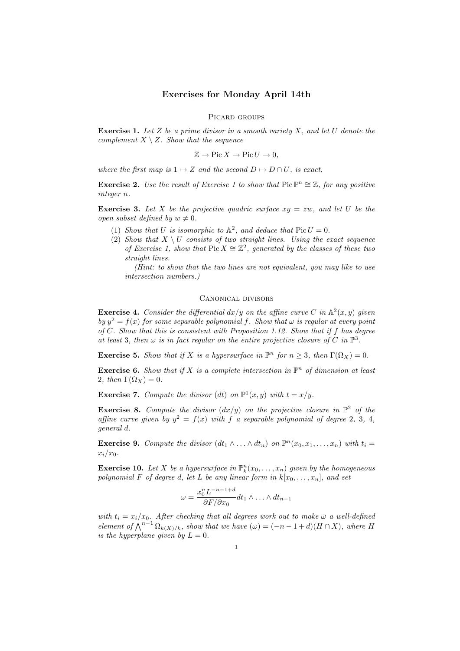## Exercises for Monday April 14th

PICARD GROUPS

**Exercise 1.** Let Z be a prime divisor in a smooth variety X, and let U denote the complement  $X \setminus Z$ . Show that the sequence

$$
\mathbb{Z} \to \text{Pic}\, X \to \text{Pic}\, U \to 0,
$$

where the first map is  $1 \mapsto Z$  and the second  $D \mapsto D \cap U$ , is exact.

**Exercise 2.** Use the result of Exercise 1 to show that  $Pic \mathbb{P}^n \cong \mathbb{Z}$ , for any positive integer n.

**Exercise 3.** Let X be the projective quadric surface  $xy = zw$ , and let U be the open subset defined by  $w \neq 0$ .

- (1) Show that U is isomorphic to  $\mathbb{A}^2$ , and deduce that  $Pic U = 0$ .
- (2) Show that  $X \setminus U$  consists of two straight lines. Using the exact sequence of Exercise 1, show that Pic  $X \cong \mathbb{Z}^2$ , generated by the classes of these two straight lines.

(Hint: to show that the two lines are not equivalent, you may like to use intersection numbers.)

## Canonical divisors

**Exercise 4.** Consider the differential  $dx/y$  on the affine curve C in  $\mathbb{A}^2(x, y)$  given by  $y^2 = f(x)$  for some separable polynomial f. Show that  $\omega$  is regular at every point of  $C$ . Show that this is consistent with Proposition 1.12. Show that if  $f$  has degree at least 3, then  $\omega$  is in fact regular on the entire projective closure of C in  $\mathbb{P}^3$ .

**Exercise 5.** Show that if X is a hypersurface in  $\mathbb{P}^n$  for  $n \geq 3$ , then  $\Gamma(\Omega_X) = 0$ .

**Exercise 6.** Show that if X is a complete intersection in  $\mathbb{P}^n$  of dimension at least 2, then  $\Gamma(\Omega_X) = 0$ .

**Exercise 7.** Compute the divisor (dt) on  $\mathbb{P}^1(x, y)$  with  $t = x/y$ .

**Exercise 8.** Compute the divisor  $\left(\frac{dx}{y}\right)$  on the projective closure in  $\mathbb{P}^2$  of the affine curve given by  $y^2 = f(x)$  with f a separable polynomial of degree 2, 3, 4, general d.

**Exercise 9.** Compute the divisor  $(dt_1 \wedge ... \wedge dt_n)$  on  $\mathbb{P}^n(x_0, x_1, ..., x_n)$  with  $t_i =$  $x_i/x_0$ .

**Exercise 10.** Let X be a hypersurface in  $\mathbb{P}_k^n(x_0, \ldots, x_n)$  given by the homogeneous polynomial F of degree d, let L be any linear form in  $k[x_0, \ldots, x_n]$ , and set

$$
\omega = \frac{x_0^n L^{-n-1+d}}{\partial F/\partial x_0} dt_1 \wedge \ldots \wedge dt_{n-1}
$$

with  $t_i = x_i/x_0$ . After checking that all degrees work out to make  $\omega$  a well-defined element of  $\bigwedge^{n-1} \Omega_{k(X)/k}$ , show that we have  $(\omega) = (-n-1+d)(H \cap X)$ , where H is the hyperplane given by  $L = 0$ .